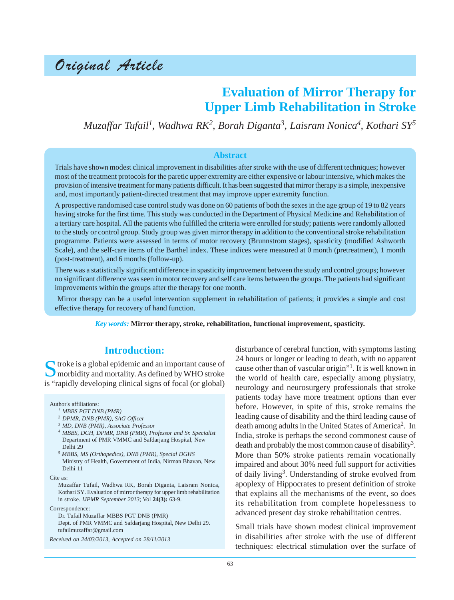# Original Article

## **Evaluation of Mirror Therapy for Upper Limb Rehabilitation in Stroke**

*Muzaffar Tufail1 , Wadhwa RK2 , Borah Diganta<sup>3</sup> , Laisram Nonica4 , Kothari SY5*

#### **Abstract**

Trials have shown modest clinical improvement in disabilities after stroke with the use of different techniques; however most of the treatment protocols for the paretic upper extremity are either expensive or labour intensive, which makes the provision of intensive treatment for many patients difficult. It has been suggested that mirror therapy is a simple, inexpensive and, most importantly patient-directed treatment that may improve upper extremity function.

A prospective randomised case control study was done on 60 patients of both the sexes in the age group of 19 to 82 years having stroke for the first time. This study was conducted in the Department of Physical Medicine and Rehabilitation of a tertiary care hospital. All the patients who fulfilled the criteria were enrolled for study; patients were randomly allotted to the study or control group. Study group was given mirror therapy in addition to the conventional stroke rehabilitation programme. Patients were assessed in terms of motor recovery (Brunnstrom stages), spasticity (modified Ashworth Scale), and the self-care items of the Barthel index. These indices were measured at 0 month (pretreatment), 1 month (post-treatment), and 6 months (follow-up).

There was a statistically significant difference in spasticity improvement between the study and control groups; however no significant difference was seen in motor recovery and self care items between the groups. The patients had significant improvements within the groups after the therapy for one month.

 Mirror therapy can be a useful intervention supplement in rehabilitation of patients; it provides a simple and cost effective therapy for recovery of hand function.

*Key words:* **Mirror therapy, stroke, rehabilitation, functional improvement, spasticity.**

### **Introduction:**

Stroke is a global epidemic and an important cause of morbidity and mortality. As defined by WHO stroke is "rapidly developing clinical signs of focal (or global)

#### Author's affiliations:

- *<sup>1</sup> MBBS PGT DNB (PMR)*
- *<sup>2</sup> DPMR, DNB (PMR), SAG Officer*
- *<sup>3</sup> MD, DNB (PMR), Associate Professor*
- *<sup>4</sup> MBBS, DCH, DPMR, DNB (PMR), Professor and Sr. Specialist* Department of PMR VMMC and Safdarjang Hospital, New Delhi 29
- *5 MBBS, MS (Orthopedics), DNB (PMR), Special DGHS* Ministry of Health, Government of India, Nirman Bhavan, New Delhi 11

Cite as:

Muzaffar Tufail, Wadhwa RK, Borah Diganta, Laisram Nonica, Kothari SY. Evaluation of mirror therapy for upper limb rehabilitation in stroke. *IJPMR September 2013*; Vol **24(3):** 63-9.

Correspondence:

Dr. Tufail Muzaffar MBBS PGT DNB (PMR) Dept. of PMR VMMC and Safdarjang Hospital, New Delhi 29. tufailmuzaffar@gmail.com

*Received on 24/03/2013, Accepted on 28/11/2013*

disturbance of cerebral function, with symptoms lasting 24 hours or longer or leading to death, with no apparent cause other than of vascular origin"1. It is well known in the world of health care, especially among physiatry, neurology and neurosurgery professionals that stroke patients today have more treatment options than ever before. However, in spite of this, stroke remains the leading cause of disability and the third leading cause of death among adults in the United States of America<sup>2</sup>. In India, stroke is perhaps the second commonest cause of death and probably the most common cause of disability<sup>3</sup>. More than 50% stroke patients remain vocationally impaired and about 30% need full support for activities of daily living3. Understanding of stroke evolved from apoplexy of Hippocrates to present definition of stroke that explains all the mechanisms of the event, so does its rehabilitation from complete hopelessness to advanced present day stroke rehabilitation centres.

Small trials have shown modest clinical improvement in disabilities after stroke with the use of different techniques: electrical stimulation over the surface of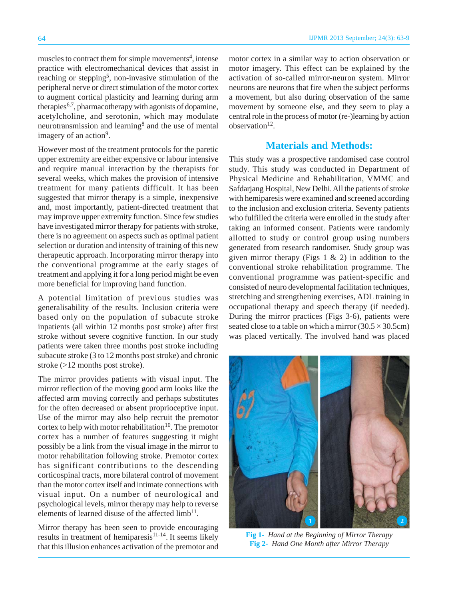muscles to contract them for simple movements<sup>4</sup>, intense practice with electromechanical devices that assist in reaching or stepping<sup>5</sup>, non-invasive stimulation of the peripheral nerve or direct stimulation of the motor cortex to augment cortical plasticity and learning during arm therapies<sup>6,7</sup>, pharmacotherapy with agonists of dopamine, acetylcholine, and serotonin, which may modulate neurotransmission and learning<sup>8</sup> and the use of mental imagery of an action<sup>9</sup>.

However most of the treatment protocols for the paretic upper extremity are either expensive or labour intensive and require manual interaction by the therapists for several weeks, which makes the provision of intensive treatment for many patients difficult. It has been suggested that mirror therapy is a simple, inexpensive and, most importantly, patient-directed treatment that may improve upper extremity function. Since few studies have investigated mirror therapy for patients with stroke, there is no agreement on aspects such as optimal patient selection or duration and intensity of training of this new therapeutic approach. Incorporating mirror therapy into the conventional programme at the early stages of treatment and applying it for a long period might be even more beneficial for improving hand function.

A potential limitation of previous studies was generalisability of the results. Inclusion criteria were based only on the population of subacute stroke inpatients (all within 12 months post stroke) after first stroke without severe cognitive function. In our study patients were taken three months post stroke including subacute stroke (3 to 12 months post stroke) and chronic stroke (>12 months post stroke).

The mirror provides patients with visual input. The mirror reflection of the moving good arm looks like the affected arm moving correctly and perhaps substitutes for the often decreased or absent proprioceptive input. Use of the mirror may also help recruit the premotor cortex to help with motor rehabilitation $10$ . The premotor cortex has a number of features suggesting it might possibly be a link from the visual image in the mirror to motor rehabilitation following stroke. Premotor cortex has significant contributions to the descending corticospinal tracts, more bilateral control of movement than the motor cortex itself and intimate connections with visual input. On a number of neurological and psychological levels, mirror therapy may help to reverse elements of learned disuse of the affected  $limb<sup>11</sup>$ .

Mirror therapy has been seen to provide encouraging results in treatment of hemiparesis<sup>11-14</sup>. It seems likely that this illusion enhances activation of the premotor and motor cortex in a similar way to action observation or motor imagery. This effect can be explained by the activation of so-called mirror-neuron system. Mirror neurons are neurons that fire when the subject performs a movement, but also during observation of the same movement by someone else, and they seem to play a central role in the process of motor (re-)learning by action  $observation<sup>12</sup>$ .

## **Materials and Methods:**

This study was a prospective randomised case control study. This study was conducted in Department of Physical Medicine and Rehabilitation, VMMC and Safdarjang Hospital, New Delhi. All the patients of stroke with hemiparesis were examined and screened according to the inclusion and exclusion criteria. Seventy patients who fulfilled the criteria were enrolled in the study after taking an informed consent. Patients were randomly allotted to study or control group using numbers generated from research randomiser. Study group was given mirror therapy (Figs  $1 \& 2$ ) in addition to the conventional stroke rehabilitation programme. The conventional programme was patient-specific and consisted of neuro developmental facilitation techniques, stretching and strengthening exercises, ADL training in occupational therapy and speech therapy (if needed). During the mirror practices (Figs 3-6), patients were seated close to a table on which a mirror  $(30.5 \times 30.5 \text{cm})$ was placed vertically. The involved hand was placed



**Fig 1-** *Hand at the Beginning of Mirror Therapy* **Fig 2-** *Hand One Month after Mirror Therapy*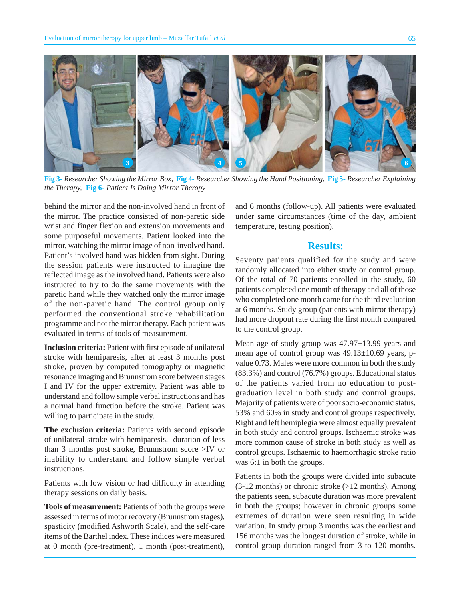

**Fig 3-** *Researcher Showing the Mirror Box,* **Fig 4-** *Researcher Showing the Hand Positioning,* **Fig 5-** *Researcher Explaining the Therapy,* **Fig 6-** *Patient Is Doing Mirror Theropy*

behind the mirror and the non-involved hand in front of the mirror. The practice consisted of non-paretic side wrist and finger flexion and extension movements and some purposeful movements. Patient looked into the mirror, watching the mirror image of non-involved hand. Patient's involved hand was hidden from sight. During the session patients were instructed to imagine the reflected image as the involved hand. Patients were also instructed to try to do the same movements with the paretic hand while they watched only the mirror image of the non-paretic hand. The control group only performed the conventional stroke rehabilitation programme and not the mirror therapy. Each patient was evaluated in terms of tools of measurement.

**Inclusion criteria:** Patient with first episode of unilateral stroke with hemiparesis, after at least 3 months post stroke, proven by computed tomography or magnetic resonance imaging and Brunnstrom score between stages I and IV for the upper extremity. Patient was able to understand and follow simple verbal instructions and has a normal hand function before the stroke. Patient was willing to participate in the study.

**The exclusion criteria:** Patients with second episode of unilateral stroke with hemiparesis, duration of less than 3 months post stroke, Brunnstrom score >IV or inability to understand and follow simple verbal instructions.

Patients with low vision or had difficulty in attending therapy sessions on daily basis.

**Tools of measurement:** Patients of both the groups were assessed in terms of motor recovery (Brunnstrom stages), spasticity (modified Ashworth Scale), and the self-care items of the Barthel index. These indices were measured at 0 month (pre-treatment), 1 month (post-treatment), and 6 months (follow-up). All patients were evaluated under same circumstances (time of the day, ambient temperature, testing position).

## **Results:**

Seventy patients qualified for the study and were randomly allocated into either study or control group. Of the total of 70 patients enrolled in the study, 60 patients completed one month of therapy and all of those who completed one month came for the third evaluation at 6 months. Study group (patients with mirror therapy) had more dropout rate during the first month compared to the control group.

Mean age of study group was 47.97±13.99 years and mean age of control group was 49.13±10.69 years, pvalue 0.73. Males were more common in both the study (83.3%) and control (76.7%) groups. Educational status of the patients varied from no education to postgraduation level in both study and control groups. Majority of patients were of poor socio-economic status, 53% and 60% in study and control groups respectively. Right and left hemiplegia were almost equally prevalent in both study and control groups. Ischaemic stroke was more common cause of stroke in both study as well as control groups. Ischaemic to haemorrhagic stroke ratio was 6:1 in both the groups.

Patients in both the groups were divided into subacute  $(3-12 \text{ months})$  or chronic stroke  $(>12 \text{ months})$ . Among the patients seen, subacute duration was more prevalent in both the groups; however in chronic groups some extremes of duration were seen resulting in wide variation. In study group 3 months was the earliest and 156 months was the longest duration of stroke, while in control group duration ranged from 3 to 120 months.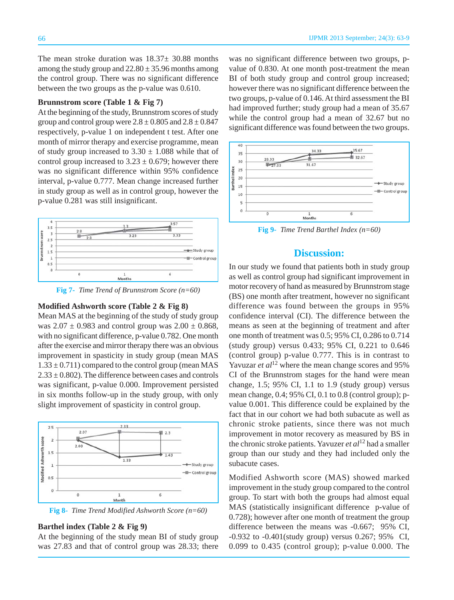The mean stroke duration was  $18.37 \pm 30.88$  months among the study group and  $22.80 \pm 35.96$  months among the control group. There was no significant difference between the two groups as the p-value was 0.610.

#### **Brunnstrom score (Table 1 & Fig 7)**

At the beginning of the study, Brunnstrom scores of study group and control group were  $2.8 \pm 0.805$  and  $2.8 \pm 0.847$ respectively, p-value 1 on independent t test. After one month of mirror therapy and exercise programme, mean of study group increased to  $3.30 \pm 1.088$  while that of control group increased to  $3.23 \pm 0.679$ ; however there was no significant difference within 95% confidence interval, p-value 0.777. Mean change increased further in study group as well as in control group, however the p-value 0.281 was still insignificant.



**Fig 7-** *Time Trend of Brunnstrom Score (n=60)*

#### **Modified Ashworth score (Table 2 & Fig 8)**

Mean MAS at the beginning of the study of study group was  $2.07 \pm 0.983$  and control group was  $2.00 \pm 0.868$ , with no significant difference, p-value 0.782. One month after the exercise and mirror therapy there was an obvious improvement in spasticity in study group (mean MAS  $1.33 \pm 0.711$ ) compared to the control group (mean MAS  $2.33 \pm 0.802$ ). The difference between cases and controls was significant, p-value 0.000. Improvement persisted in six months follow-up in the study group, with only slight improvement of spasticity in control group.



**Fig 8-** *Time Trend Modified Ashworth Score (n=60)*

### **Barthel index (Table 2 & Fig 9)**

At the beginning of the study mean BI of study group was 27.83 and that of control group was 28.33; there was no significant difference between two groups, pvalue of 0.830. At one month post-treatment the mean BI of both study group and control group increased; however there was no significant difference between the two groups, p-value of 0.146. At third assessment the BI had improved further; study group had a mean of 35.67 while the control group had a mean of 32.67 but no significant difference was found between the two groups.



**Fig 9-** *Time Trend Barthel Index (n=60)*

## **Discussion:**

In our study we found that patients both in study group as well as control group had significant improvement in motor recovery of hand as measured by Brunnstrom stage (BS) one month after treatment, however no significant difference was found between the groups in 95% confidence interval (CI). The difference between the means as seen at the beginning of treatment and after one month of treatment was 0.5; 95% CI, 0.286 to 0.714 (study group) versus 0.433; 95% CI, 0.221 to 0.646 (control group) p-value 0.777. This is in contrast to Yavuzar *et al*<sup>12</sup> where the mean change scores and 95% CI of the Brunnstrom stages for the hand were mean change, 1.5; 95% CI, 1.1 to 1.9 (study group) versus mean change, 0.4; 95% CI, 0.1 to 0.8 (control group); pvalue 0.001. This difference could be explained by the fact that in our cohort we had both subacute as well as chronic stroke patients, since there was not much improvement in motor recovery as measured by BS in the chronic stroke patients. Yavuzer *et al*12 had a smaller group than our study and they had included only the subacute cases.

Modified Ashworth score (MAS) showed marked improvement in the study group compared to the control group. To start with both the groups had almost equal MAS (statistically insignificant difference p-value of 0.728); however after one month of treatment the group difference between the means was -0.667; 95% CI, -0.932 to -0.401(study group) versus 0.267; 95% CI, 0.099 to 0.435 (control group); p-value 0.000. The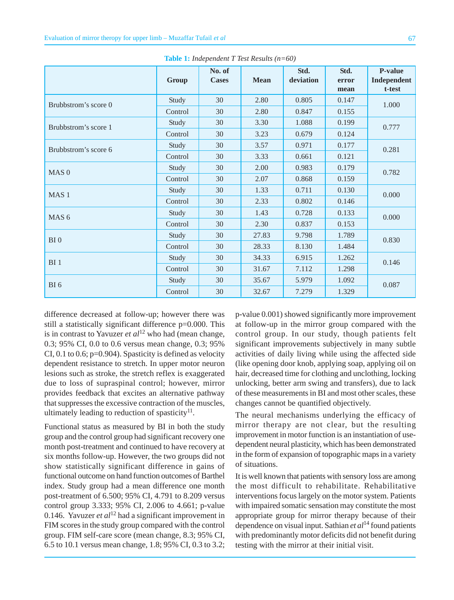|                      | Group   | No. of<br><b>Cases</b> | <b>Mean</b> | Std.<br>deviation | Std.<br>error | <b>P-value</b><br>Independent |
|----------------------|---------|------------------------|-------------|-------------------|---------------|-------------------------------|
|                      |         |                        |             |                   | mean          | t-test                        |
| Brubbstrom's score 0 | Study   | 30                     | 2.80        | 0.805             | 0.147         | 1.000                         |
|                      | Control | 30                     | 2.80        | 0.847             | 0.155         |                               |
| Brubbstrom's score 1 | Study   | 30                     | 3.30        | 1.088             | 0.199         | 0.777                         |
|                      | Control | 30                     | 3.23        | 0.679             | 0.124         |                               |
| Brubbstrom's score 6 | Study   | 30                     | 3.57        | 0.971             | 0.177         | 0.281                         |
|                      | Control | 30                     | 3.33        | 0.661             | 0.121         |                               |
| MAS <sub>0</sub>     | Study   | 30                     | 2.00        | 0.983             | 0.179         | 0.782                         |
|                      | Control | 30                     | 2.07        | 0.868             | 0.159         |                               |
| MAS <sub>1</sub>     | Study   | 30                     | 1.33        | 0.711             | 0.130         | 0.000                         |
|                      | Control | 30                     | 2.33        | 0.802             | 0.146         |                               |
| MAS <sub>6</sub>     | Study   | 30                     | 1.43        | 0.728             | 0.133         | 0.000                         |
|                      | Control | 30                     | 2.30        | 0.837             | 0.153         |                               |
| BI <sub>0</sub>      | Study   | 30                     | 27.83       | 9.798             | 1.789         | 0.830                         |
|                      | Control | 30                     | 28.33       | 8.130             | 1.484         |                               |
| BI <sub>1</sub>      | Study   | 30                     | 34.33       | 6.915             | 1.262         | 0.146                         |
|                      | Control | 30                     | 31.67       | 7.112             | 1.298         |                               |
| BI6                  | Study   | 30                     | 35.67       | 5.979             | 1.092         | 0.087                         |
|                      | Control | 30                     | 32.67       | 7.279             | 1.329         |                               |

**Table 1:** *Independent T Test Results (n=60)*

difference decreased at follow-up; however there was still a statistically significant difference p=0.000. This is in contrast to Yavuzer *et al*12 who had (mean change, 0.3; 95% CI, 0.0 to 0.6 versus mean change, 0.3; 95% CI, 0.1 to 0.6;  $p=0.904$ ). Spasticity is defined as velocity dependent resistance to stretch. In upper motor neuron lesions such as stroke, the stretch reflex is exaggerated due to loss of supraspinal control; however, mirror provides feedback that excites an alternative pathway that suppresses the excessive contraction of the muscles, ultimately leading to reduction of spasticity $11$ .

Functional status as measured by BI in both the study group and the control group had significant recovery one month post-treatment and continued to have recovery at six months follow-up. However, the two groups did not show statistically significant difference in gains of functional outcome on hand function outcomes of Barthel index. Study group had a mean difference one month post-treatment of 6.500; 95% CI, 4.791 to 8.209 versus control group 3.333; 95% CI, 2.006 to 4.661; p-value 0.146. Yavuzer *et al*12 had a significant improvement in FIM scores in the study group compared with the control group. FIM self-care score (mean change, 8.3; 95% CI, 6.5 to 10.1 versus mean change, 1.8; 95% CI, 0.3 to 3.2;

p-value 0.001) showed significantly more improvement at follow-up in the mirror group compared with the control group. In our study, though patients felt significant improvements subjectively in many subtle activities of daily living while using the affected side (like opening door knob, applying soap, applying oil on hair, decreased time for clothing and unclothing, locking unlocking, better arm swing and transfers), due to lack of these measurements in BI and most other scales, these changes cannot be quantified objectively.

The neural mechanisms underlying the efficacy of mirror therapy are not clear, but the resulting improvement in motor function is an instantiation of usedependent neural plasticity, which has been demonstrated in the form of expansion of topographic maps in a variety of situations.

It is well known that patients with sensory loss are among the most difficult to rehabilitate. Rehabilitative interventions focus largely on the motor system. Patients with impaired somatic sensation may constitute the most appropriate group for mirror therapy because of their dependence on visual input. Sathian *et al*14 found patients with predominantly motor deficits did not benefit during testing with the mirror at their initial visit.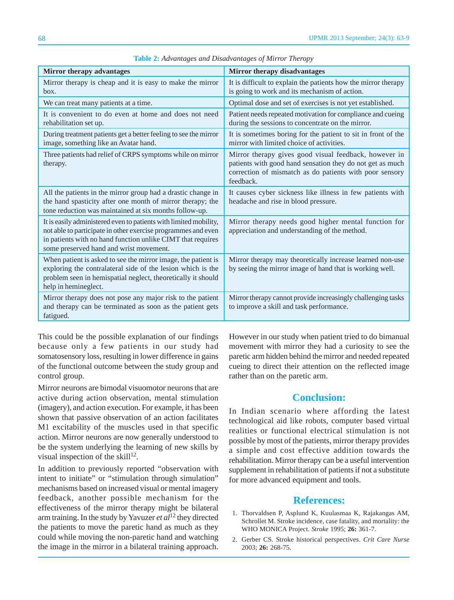| Mirror therapy advantages                                                                                                                                                                                                                    | Mirror therapy disadvantages                                                                                                                                                               |  |  |  |
|----------------------------------------------------------------------------------------------------------------------------------------------------------------------------------------------------------------------------------------------|--------------------------------------------------------------------------------------------------------------------------------------------------------------------------------------------|--|--|--|
| Mirror therapy is cheap and it is easy to make the mirror<br>box.                                                                                                                                                                            | It is difficult to explain the patients how the mirror therapy<br>is going to work and its mechanism of action.                                                                            |  |  |  |
| We can treat many patients at a time.                                                                                                                                                                                                        | Optimal dose and set of exercises is not yet established.                                                                                                                                  |  |  |  |
| It is convenient to do even at home and does not need<br>rehabilitation set up.                                                                                                                                                              | Patient needs repeated motivation for compliance and cueing<br>during the sessions to concentrate on the mirror.                                                                           |  |  |  |
| During treatment patients get a better feeling to see the mirror<br>image, something like an Avatar hand.                                                                                                                                    | It is sometimes boring for the patient to sit in front of the<br>mirror with limited choice of activities.                                                                                 |  |  |  |
| Three patients had relief of CRPS symptoms while on mirror<br>therapy.                                                                                                                                                                       | Mirror therapy gives good visual feedback, however in<br>patients with good hand sensation they do not get as much<br>correction of mismatch as do patients with poor sensory<br>feedback. |  |  |  |
| All the patients in the mirror group had a drastic change in<br>the hand spasticity after one month of mirror therapy; the<br>tone reduction was maintained at six months follow-up.                                                         | It causes cyber sickness like illness in few patients with<br>headache and rise in blood pressure.                                                                                         |  |  |  |
| It is easily administered even to patients with limited mobility,<br>not able to participate in other exercise programmes and even<br>in patients with no hand function unlike CIMT that requires<br>some preserved hand and wrist movement. | Mirror therapy needs good higher mental function for<br>appreciation and understanding of the method.                                                                                      |  |  |  |
| When patient is asked to see the mirror image, the patient is<br>exploring the contralateral side of the lesion which is the<br>problem seen in hemispatial neglect, theoretically it should<br>help in hemineglect.                         | Mirror therapy may theoretically increase learned non-use<br>by seeing the mirror image of hand that is working well.                                                                      |  |  |  |
| Mirror therapy does not pose any major risk to the patient<br>and therapy can be terminated as soon as the patient gets<br>fatigued.                                                                                                         | Mirror therapy cannot provide increasingly challenging tasks<br>to improve a skill and task performance.                                                                                   |  |  |  |

**Table 2:** *Advantages and Disadvantages of Mirror Theropy*

This could be the possible explanation of our findings because only a few patients in our study had somatosensory loss, resulting in lower difference in gains of the functional outcome between the study group and control group.

Mirror neurons are bimodal visuomotor neurons that are active during action observation, mental stimulation (imagery), and action execution. For example, it has been shown that passive observation of an action facilitates M1 excitability of the muscles used in that specific action. Mirror neurons are now generally understood to be the system underlying the learning of new skills by visual inspection of the skill $^{12}$ .

In addition to previously reported "observation with intent to initiate" or "stimulation through simulation" mechanisms based on increased visual or mental imagery feedback, another possible mechanism for the effectiveness of the mirror therapy might be bilateral arm training. In the study by Yavuzer *et al*12 they directed the patients to move the paretic hand as much as they could while moving the non-paretic hand and watching the image in the mirror in a bilateral training approach. However in our study when patient tried to do bimanual movement with mirror they had a curiosity to see the paretic arm hidden behind the mirror and needed repeated cueing to direct their attention on the reflected image rather than on the paretic arm.

## **Conclusion:**

In Indian scenario where affording the latest technological aid like robots, computer based virtual realities or functional electrical stimulation is not possible by most of the patients, mirror therapy provides a simple and cost effective addition towards the rehabilitation. Mirror therapy can be a useful intervention supplement in rehabilitation of patients if not a substitute for more advanced equipment and tools.

## **References:**

- 1. Thorvaldsen P, Asplund K, Kuulasmaa K, Rajakangas AM, Schrollet M. Stroke incidence, case fatality, and mortality: the WHO MONICA Project. *Stroke* 1995; **26:** 361-7.
- 2. Gerber CS. Stroke historical perspectives. *Crit Care Nurse* 2003; **26:** 268-75.